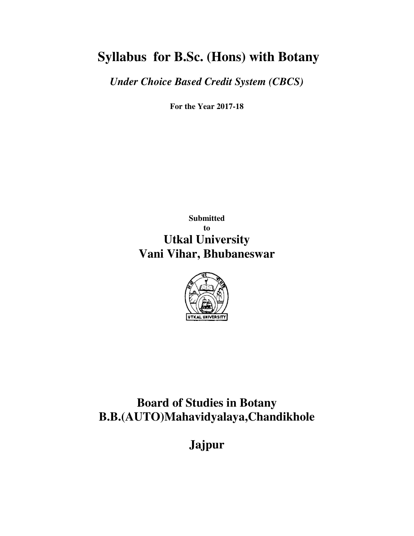# **Syllabus for B.Sc. (Hons) with Botany**

*Under Choice Based Credit System (CBCS)* 

**For the Year 2017-18** 

**Submitted to Utkal University Vani Vihar, Bhubaneswar** 



**Board of Studies in Botany B.B.(AUTO)Mahavidyalaya,Chandikhole** 

**Jajpur**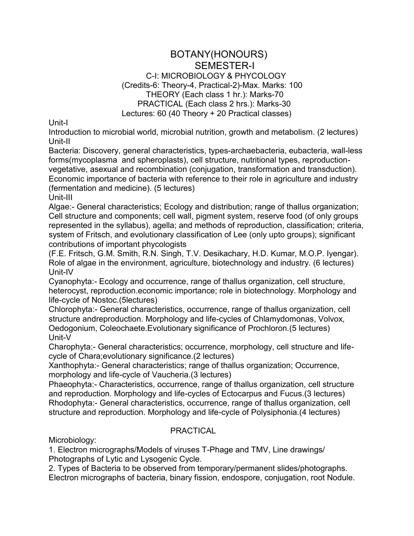#### BOTANY(HONOURS) SEMESTER-I C-I: MICROBIOLOGY & PHYCOLOGY (Credits-6: Theory-4, Practical-2)-Max. Marks: 100 THEORY (Each class 1 hr.): Marks-70 PRACTICAL (Each class 2 hrs.): Marks-30 Lectures: 60 (40 Theory + 20 Practical classes)

Unit-I

Introduction to microbial world, microbial nutrition, growth and metabolism. (2 lectures) Unit-II

Bacteria: Discovery, general characteristics, types-archaebacteria, eubacteria, wall-less forms(mycoplasma and spheroplasts), cell structure, nutritional types, reproductionvegetative, asexual and recombination (conjugation, transformation and transduction). Economic importance of bacteria with reference to their role in agriculture and industry (fermentation and medicine). (5 lectures)

Unit-III

Algae:- General characteristics; Ecology and distribution; range of thallus organization; Cell structure and components; cell wall, pigment system, reserve food (of only groups represented in the syllabus), agella; and methods of reproduction, classification; criteria, system of Fritsch, and evolutionary classification of Lee (only upto groups); significant contributions of important phycologists

(F.E. Fritsch, G.M. Smith, R.N. Singh, T.V. Desikachary, H.D. Kumar, M.O.P. Iyengar). Role of algae in the environment, agriculture, biotechnology and industry. (6 lectures) Unit-IV

Cyanophyta:- Ecology and occurrence, range of thallus organization, cell structure, heterocyst, reproduction.economic importance; role in biotechnology. Morphology and life-cycle of Nostoc.(5lectures)

Chlorophyta:- General characteristics, occurrence, range of thallus organization, cell structure andreproduction. Morphology and life-cycles of Chlamydomonas, Volvox, Oedogonium, Coleochaete.Evolutionary significance of Prochloron.(5 lectures) Unit-V

Charophyta:- General characteristics; occurrence, morphology, cell structure and lifecycle of Chara;evolutionary significance.(2 lectures)

Xanthophyta:- General characteristics; range of thallus organization; Occurrence, morphology and life-cycle of Vaucheria.(3 lectures)

Phaeophyta:- Characteristics, occurrence, range of thallus organization, cell structure and reproduction. Morphology and life-cycles of Ectocarpus and Fucus.(3 lectures) Rhodophyta:- General characteristics, occurrence, range of thallus organization, cell structure and reproduction. Morphology and life-cycle of Polysiphonia.(4 lectures)

#### PRACTICAL

Microbiology:

1. Electron micrographs/Models of viruses T-Phage and TMV, Line drawings/ Photographs of Lytic and Lysogenic Cycle.

2. Types of Bacteria to be observed from temporary/permanent slides/photographs. Electron micrographs of bacteria, binary fission, endospore, conjugation, root Nodule.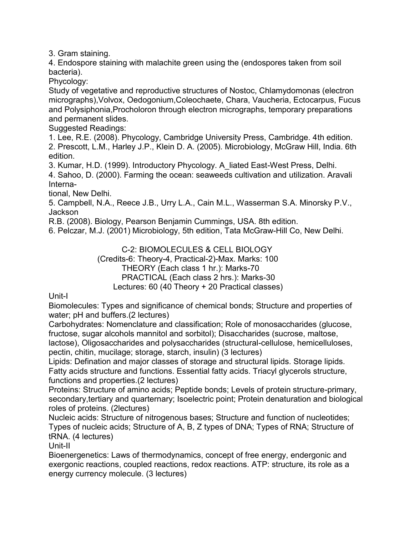3. Gram staining.

4. Endospore staining with malachite green using the (endospores taken from soil bacteria).

Phycology:

Study of vegetative and reproductive structures of Nostoc, Chlamydomonas (electron micrographs),Volvox, Oedogonium,Coleochaete, Chara, Vaucheria, Ectocarpus, Fucus and Polysiphonia,Procholoron through electron micrographs, temporary preparations and permanent slides.

Suggested Readings:

1. Lee, R.E. (2008). Phycology, Cambridge University Press, Cambridge. 4th edition. 2. Prescott, L.M., Harley J.P., Klein D. A. (2005). Microbiology, McGraw Hill, India. 6th edition.

3. Kumar, H.D. (1999). Introductory Phycology. A\_liated East-West Press, Delhi. 4. Sahoo, D. (2000). Farming the ocean: seaweeds cultivation and utilization. Aravali Interna-

tional, New Delhi.

5. Campbell, N.A., Reece J.B., Urry L.A., Cain M.L., Wasserman S.A. Minorsky P.V., **Jackson** 

R.B. (2008). Biology, Pearson Benjamin Cummings, USA. 8th edition.

6. Pelczar, M.J. (2001) Microbiology, 5th edition, Tata McGraw-Hill Co, New Delhi.

C-2: BIOMOLECULES & CELL BIOLOGY (Credits-6: Theory-4, Practical-2)-Max. Marks: 100 THEORY (Each class 1 hr.): Marks-70 PRACTICAL (Each class 2 hrs.): Marks-30 Lectures: 60 (40 Theory + 20 Practical classes)

Unit-I

Biomolecules: Types and significance of chemical bonds; Structure and properties of water; pH and buffers.(2 lectures)

Carbohydrates: Nomenclature and classification; Role of monosaccharides (glucose, fructose, sugar alcohols mannitol and sorbitol); Disaccharides (sucrose, maltose,

lactose), Oligosaccharides and polysaccharides (structural-cellulose, hemicelluloses, pectin, chitin, mucilage; storage, starch, insulin) (3 lectures)

Lipids: Defination and major classes of storage and structural lipids. Storage lipids. Fatty acids structure and functions. Essential fatty acids. Triacyl glycerols structure, functions and properties.(2 lectures)

Proteins: Structure of amino acids; Peptide bonds; Levels of protein structure-primary, secondary,tertiary and quarternary; Isoelectric point; Protein denaturation and biological roles of proteins. (2lectures)

Nucleic acids: Structure of nitrogenous bases; Structure and function of nucleotides; Types of nucleic acids; Structure of A, B, Z types of DNA; Types of RNA; Structure of tRNA. (4 lectures)

Unit-II

Bioenergenetics: Laws of thermodynamics, concept of free energy, endergonic and exergonic reactions, coupled reactions, redox reactions. ATP: structure, its role as a energy currency molecule. (3 lectures)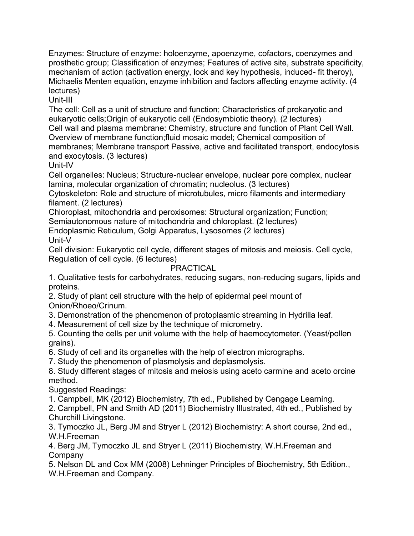Enzymes: Structure of enzyme: holoenzyme, apoenzyme, cofactors, coenzymes and prosthetic group; Classification of enzymes; Features of active site, substrate specificity, mechanism of action (activation energy, lock and key hypothesis, induced- fit theroy), Michaelis Menten equation, enzyme inhibition and factors affecting enzyme activity. (4 lectures)

Unit-III

The cell: Cell as a unit of structure and function; Characteristics of prokaryotic and eukaryotic cells;Origin of eukaryotic cell (Endosymbiotic theory). (2 lectures) Cell wall and plasma membrane: Chemistry, structure and function of Plant Cell Wall. Overview of membrane function;fluid mosaic model; Chemical composition of membranes; Membrane transport Passive, active and facilitated transport, endocytosis and exocytosis. (3 lectures)

Unit-IV

Cell organelles: Nucleus; Structure-nuclear envelope, nuclear pore complex, nuclear lamina, molecular organization of chromatin; nucleolus. (3 lectures)

Cytoskeleton: Role and structure of microtubules, micro filaments and intermediary filament. (2 lectures)

Chloroplast, mitochondria and peroxisomes: Structural organization; Function; Semiautonomous nature of mitochondria and chloroplast. (2 lectures)

Endoplasmic Reticulum, Golgi Apparatus, Lysosomes (2 lectures)

Unit-V

Cell division: Eukaryotic cell cycle, different stages of mitosis and meiosis. Cell cycle, Regulation of cell cycle. (6 lectures)

## PRACTICAL

1. Qualitative tests for carbohydrates, reducing sugars, non-reducing sugars, lipids and proteins.

2. Study of plant cell structure with the help of epidermal peel mount of Onion/Rhoeo/Crinum.

3. Demonstration of the phenomenon of protoplasmic streaming in Hydrilla leaf.

4. Measurement of cell size by the technique of micrometry.

5. Counting the cells per unit volume with the help of haemocytometer. (Yeast/pollen grains).

6. Study of cell and its organelles with the help of electron micrographs.

7. Study the phenomenon of plasmolysis and deplasmolysis.

8. Study different stages of mitosis and meiosis using aceto carmine and aceto orcine method.

Suggested Readings:

1. Campbell, MK (2012) Biochemistry, 7th ed., Published by Cengage Learning.

2. Campbell, PN and Smith AD (2011) Biochemistry Illustrated, 4th ed., Published by Churchill Livingstone.

3. Tymoczko JL, Berg JM and Stryer L (2012) Biochemistry: A short course, 2nd ed., W.H.Freeman

4. Berg JM, Tymoczko JL and Stryer L (2011) Biochemistry, W.H.Freeman and **Company** 

5. Nelson DL and Cox MM (2008) Lehninger Principles of Biochemistry, 5th Edition., W.H.Freeman and Company.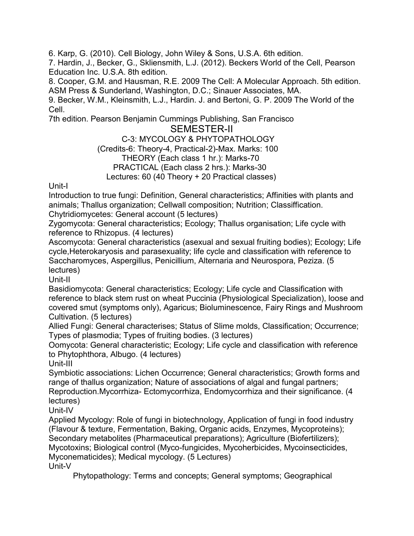6. Karp, G. (2010). Cell Biology, John Wiley & Sons, U.S.A. 6th edition.

7. Hardin, J., Becker, G., Skliensmith, L.J. (2012). Beckers World of the Cell, Pearson Education Inc. U.S.A. 8th edition.

8. Cooper, G.M. and Hausman, R.E. 2009 The Cell: A Molecular Approach. 5th edition. ASM Press & Sunderland, Washington, D.C.; Sinauer Associates, MA.

9. Becker, W.M., Kleinsmith, L.J., Hardin. J. and Bertoni, G. P. 2009 The World of the Cell.

7th edition. Pearson Benjamin Cummings Publishing, San Francisco

## SEMESTER-II

## C-3: MYCOLOGY & PHYTOPATHOLOGY

(Credits-6: Theory-4, Practical-2)-Max. Marks: 100

## THEORY (Each class 1 hr.): Marks-70

## PRACTICAL (Each class 2 hrs.): Marks-30

#### Lectures: 60 (40 Theory + 20 Practical classes)

Unit-I

Introduction to true fungi: Definition, General characteristics; Affinities with plants and animals; Thallus organization; Cellwall composition; Nutrition; Classiffication. Chytridiomycetes: General account (5 lectures)

Zygomycota: General characteristics; Ecology; Thallus organisation; Life cycle with reference to Rhizopus. (4 lectures)

Ascomycota: General characteristics (asexual and sexual fruiting bodies); Ecology; Life cycle,Heterokaryosis and parasexuality; life cycle and classification with reference to Saccharomyces, Aspergillus, Penicillium, Alternaria and Neurospora, Peziza. (5 lectures)

Unit-II

Basidiomycota: General characteristics; Ecology; Life cycle and Classification with reference to black stem rust on wheat Puccinia (Physiological Specialization), loose and covered smut (symptoms only), Agaricus; Bioluminescence, Fairy Rings and Mushroom Cultivation. (5 lectures)

Allied Fungi: General characterises; Status of Slime molds, Classification; Occurrence; Types of plasmodia; Types of fruiting bodies. (3 lectures)

Oomycota: General characteristic; Ecology; Life cycle and classification with reference to Phytophthora, Albugo. (4 lectures)

Unit-III

Symbiotic associations: Lichen Occurrence; General characteristics; Growth forms and range of thallus organization; Nature of associations of algal and fungal partners; Reproduction.Mycorrhiza- Ectomycorrhiza, Endomycorrhiza and their significance. (4 lectures)

Unit-IV

Applied Mycology: Role of fungi in biotechnology, Application of fungi in food industry (Flavour & texture, Fermentation, Baking, Organic acids, Enzymes, Mycoproteins); Secondary metabolites (Pharmaceutical preparations); Agriculture (Biofertilizers); Mycotoxins; Biological control (Myco-fungicides, Mycoherbicides, Mycoinsecticides, Myconematicides); Medical mycology. (5 Lectures) Unit-V

Phytopathology: Terms and concepts; General symptoms; Geographical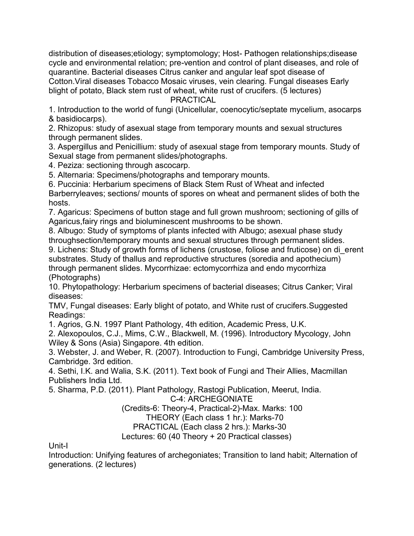distribution of diseases;etiology; symptomology; Host- Pathogen relationships;disease cycle and environmental relation; pre-vention and control of plant diseases, and role of quarantine. Bacterial diseases Citrus canker and angular leaf spot disease of Cotton.Viral diseases Tobacco Mosaic viruses, vein clearing. Fungal diseases Early blight of potato, Black stem rust of wheat, white rust of crucifers. (5 lectures)

PRACTICAL

1. Introduction to the world of fungi (Unicellular, coenocytic/septate mycelium, asocarps & basidiocarps).

2. Rhizopus: study of asexual stage from temporary mounts and sexual structures through permanent slides.

3. Aspergillus and Penicillium: study of asexual stage from temporary mounts. Study of Sexual stage from permanent slides/photographs.

4. Peziza: sectioning through ascocarp.

5. Alternaria: Specimens/photographs and temporary mounts.

6. Puccinia: Herbarium specimens of Black Stem Rust of Wheat and infected Barberryleaves; sections/ mounts of spores on wheat and permanent slides of both the hosts.

7. Agaricus: Specimens of button stage and full grown mushroom; sectioning of gills of Agaricus,fairy rings and bioluminescent mushrooms to be shown.

8. Albugo: Study of symptoms of plants infected with Albugo; asexual phase study throughsection/temporary mounts and sexual structures through permanent slides.

9. Lichens: Study of growth forms of lichens (crustose, foliose and fruticose) on di\_erent substrates. Study of thallus and reproductive structures (soredia and apothecium) through permanent slides. Mycorrhizae: ectomycorrhiza and endo mycorrhiza (Photographs)

10. Phytopathology: Herbarium specimens of bacterial diseases; Citrus Canker; Viral diseases:

TMV, Fungal diseases: Early blight of potato, and White rust of crucifers.Suggested Readings:

1. Agrios, G.N. 1997 Plant Pathology, 4th edition, Academic Press, U.K.

2. Alexopoulos, C.J., Mims, C.W., Blackwell, M. (1996). Introductory Mycology, John Wiley & Sons (Asia) Singapore. 4th edition.

3. Webster, J. and Weber, R. (2007). Introduction to Fungi, Cambridge University Press, Cambridge. 3rd edition.

4. Sethi, I.K. and Walia, S.K. (2011). Text book of Fungi and Their Allies, Macmillan Publishers India Ltd.

5. Sharma, P.D. (2011). Plant Pathology, Rastogi Publication, Meerut, India.

C-4: ARCHEGONIATE

(Credits-6: Theory-4, Practical-2)-Max. Marks: 100

THEORY (Each class 1 hr.): Marks-70

PRACTICAL (Each class 2 hrs.): Marks-30

Lectures: 60 (40 Theory + 20 Practical classes)

Unit-I

Introduction: Unifying features of archegoniates; Transition to land habit; Alternation of generations. (2 lectures)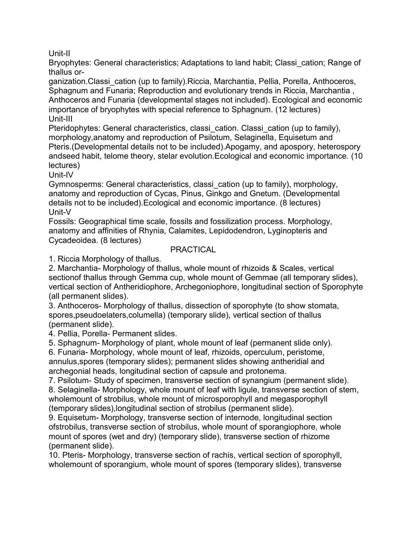Unit-II

Bryophytes: General characteristics; Adaptations to land habit; Classi\_cation; Range of thallus or-

ganization.Classi\_cation (up to family).Riccia, Marchantia, Pellia, Porella, Anthoceros, Sphagnum and Funaria; Reproduction and evolutionary trends in Riccia, Marchantia , Anthoceros and Funaria (developmental stages not included). Ecological and economic importance of bryophytes with special reference to Sphagnum. (12 lectures) Unit-III

Pteridophytes: General characteristics, classi\_cation. Classi\_cation (up to family), morphology,anatomy and reproduction of Psilotum, Selaginella, Equisetum and Pteris.(Developmental details not to be included).Apogamy, and apospory, heterospory andseed habit, telome theory, stelar evolution.Ecological and economic importance. (10 lectures)

Unit-IV

Gymnosperms: General characteristics, classi\_cation (up to family), morphology, anatomy and reproduction of Cycas, Pinus, Ginkgo and Gnetum. (Developmental details not to be included).Ecological and economic importance. (8 lectures) Unit-V

Fossils: Geographical time scale, fossils and fossilization process. Morphology, anatomy and affinities of Rhynia, Calamites, Lepidodendron, Lyginopteris and Cycadeoidea. (8 lectures)

#### PRACTICAL

1. Riccia Morphology of thallus.

2. Marchantia- Morphology of thallus, whole mount of rhizoids & Scales, vertical sectionof thallus through Gemma cup, whole mount of Gemmae (all temporary slides), vertical section of Antheridiophore, Archegoniophore, longitudinal section of Sporophyte (all permanent slides).

3. Anthoceros- Morphology of thallus, dissection of sporophyte (to show stomata, spores,pseudoelaters,columella) (temporary slide), vertical section of thallus (permanent slide).

4. Pellia, Porella- Permanent slides.

5. Sphagnum- Morphology of plant, whole mount of leaf (permanent slide only).

6. Funaria- Morphology, whole mount of leaf, rhizoids, operculum, peristome, annulus,spores (temporary slides); permanent slides showing antheridial and archegonial heads, longitudinal section of capsule and protonema.

7. Psilotum- Study of specimen, transverse section of synangium (permanent slide).

8. Selaginella- Morphology, whole mount of leaf with ligule, transverse section of stem, wholemount of strobilus, whole mount of microsporophyll and megasporophyll (temporary slides),longitudinal section of strobilus (permanent slide).

9. Equisetum- Morphology, transverse section of internode, longitudinal section ofstrobilus, transverse section of strobilus, whole mount of sporangiophore, whole mount of spores (wet and dry) (temporary slide), transverse section of rhizome (permanent slide).

10. Pteris- Morphology, transverse section of rachis, vertical section of sporophyll, wholemount of sporangium, whole mount of spores (temporary slides), transverse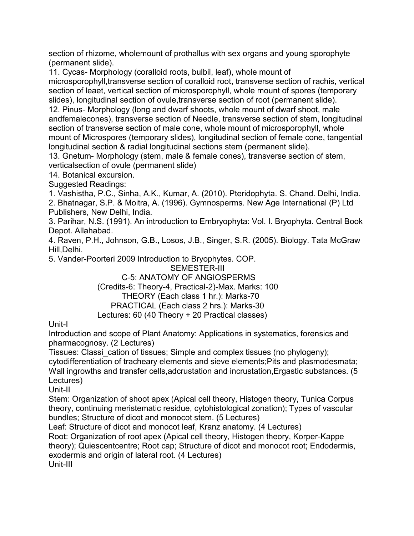section of rhizome, wholemount of prothallus with sex organs and young sporophyte (permanent slide).

11. Cycas- Morphology (coralloid roots, bulbil, leaf), whole mount of microsporophyll,transverse section of coralloid root, transverse section of rachis, vertical section of leaet, vertical section of microsporophyll, whole mount of spores (temporary slides), longitudinal section of ovule,transverse section of root (permanent slide). 12. Pinus- Morphology (long and dwarf shoots, whole mount of dwarf shoot, male andfemalecones), transverse section of Needle, transverse section of stem, longitudinal section of transverse section of male cone, whole mount of microsporophyll, whole mount of Microspores (temporary slides), longitudinal section of female cone, tangential longitudinal section & radial longitudinal sections stem (permanent slide).

13. Gnetum- Morphology (stem, male & female cones), transverse section of stem, verticalsection of ovule (permanent slide)

14. Botanical excursion.

Suggested Readings:

1. Vashistha, P.C., Sinha, A.K., Kumar, A. (2010). Pteridophyta. S. Chand. Delhi, India.

2. Bhatnagar, S.P. & Moitra, A. (1996). Gymnosperms. New Age International (P) Ltd Publishers, New Delhi, India.

3. Parihar, N.S. (1991). An introduction to Embryophyta: Vol. I. Bryophyta. Central Book Depot. Allahabad.

4. Raven, P.H., Johnson, G.B., Losos, J.B., Singer, S.R. (2005). Biology. Tata McGraw Hill,Delhi.

5. Vander-Poorteri 2009 Introduction to Bryophytes. COP.

SEMESTER-III

C-5: ANATOMY OF ANGIOSPERMS

(Credits-6: Theory-4, Practical-2)-Max. Marks: 100

THEORY (Each class 1 hr.): Marks-70

PRACTICAL (Each class 2 hrs.): Marks-30

Lectures: 60 (40 Theory + 20 Practical classes)

Unit-I

Introduction and scope of Plant Anatomy: Applications in systematics, forensics and pharmacognosy. (2 Lectures)

Tissues: Classi\_cation of tissues; Simple and complex tissues (no phylogeny);

cytodifferentiation of tracheary elements and sieve elements;Pits and plasmodesmata; Wall ingrowths and transfer cells,adcrustation and incrustation,Ergastic substances. (5 Lectures)

Unit-II

Stem: Organization of shoot apex (Apical cell theory, Histogen theory, Tunica Corpus theory, continuing meristematic residue, cytohistological zonation); Types of vascular bundles; Structure of dicot and monocot stem. (5 Lectures)

Leaf: Structure of dicot and monocot leaf, Kranz anatomy. (4 Lectures)

Root: Organization of root apex (Apical cell theory, Histogen theory, Korper-Kappe theory); Quiescentcentre; Root cap; Structure of dicot and monocot root; Endodermis, exodermis and origin of lateral root. (4 Lectures) Unit-III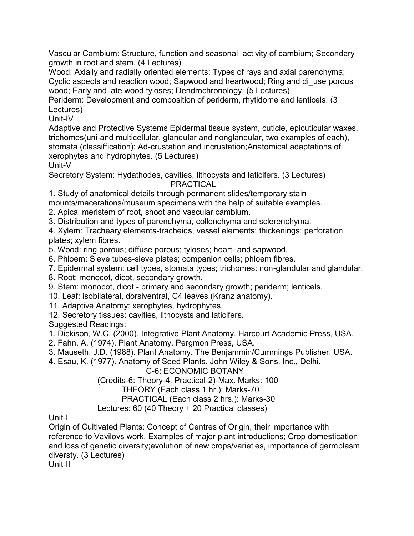Vascular Cambium: Structure, function and seasonal activity of cambium; Secondary growth in root and stem. (4 Lectures)

Wood: Axially and radially oriented elements; Types of rays and axial parenchyma; Cyclic aspects and reaction wood; Sapwood and heartwood; Ring and di\_use porous wood; Early and late wood,tyloses; Dendrochronology. (5 Lectures)

Periderm: Development and composition of periderm, rhytidome and lenticels. (3 Lectures)

Unit-IV

Adaptive and Protective Systems Epidermal tissue system, cuticle, epicuticular waxes, trichomes(uni-and multicellular, glandular and nonglandular, two examples of each), stomata (classiffication); Ad-crustation and incrustation;Anatomical adaptations of xerophytes and hydrophytes. (5 Lectures)

Unit-V

Secretory System: Hydathodes, cavities, lithocysts and laticifers. (3 Lectures) PRACTICAL

1. Study of anatomical details through permanent slides/temporary stain

mounts/macerations/museum specimens with the help of suitable examples.

2. Apical meristem of root, shoot and vascular cambium.

3. Distribution and types of parenchyma, collenchyma and sclerenchyma.

4. Xylem: Tracheary elements-tracheids, vessel elements; thickenings; perforation plates; xylem fibres.

5. Wood: ring porous; diffuse porous; tyloses; heart- and sapwood.

6. Phloem: Sieve tubes-sieve plates; companion cells; phloem fibres.

7. Epidermal system: cell types, stomata types; trichomes: non-glandular and glandular.

8. Root: monocot, dicot, secondary growth.

9. Stem: monocot, dicot - primary and secondary growth; periderm; lenticels.

10. Leaf: isobilateral, dorsiventral, C4 leaves (Kranz anatomy).

11. Adaptive Anatomy: xerophytes, hydrophytes.

12. Secretory tissues: cavities, lithocysts and laticifers.

Suggested Readings:

1. Dickison, W.C. (2000). Integrative Plant Anatomy. Harcourt Academic Press, USA.

2. Fahn, A. (1974). Plant Anatomy. Pergmon Press, USA.

3. Mauseth, J.D. (1988). Plant Anatomy. The Benjammin/Cummings Publisher, USA.

4. Esau, K. (1977). Anatomy of Seed Plants. John Wiley & Sons, Inc., Delhi.

C-6: ECONOMIC BOTANY

(Credits-6: Theory-4, Practical-2)-Max. Marks: 100

THEORY (Each class 1 hr.): Marks-70

PRACTICAL (Each class 2 hrs.): Marks-30

Lectures: 60 (40 Theory + 20 Practical classes)

Unit-I

Origin of Cultivated Plants: Concept of Centres of Origin, their importance with reference to Vavilovs work. Examples of major plant introductions; Crop domestication and loss of genetic diversity;evolution of new crops/varieties, importance of germplasm diversty. (3 Lectures)

Unit-II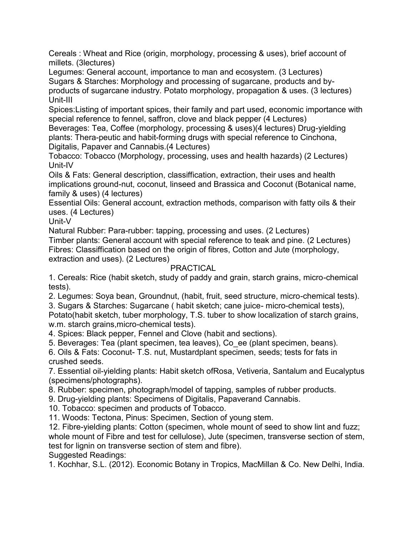Cereals : Wheat and Rice (origin, morphology, processing & uses), brief account of millets. (3lectures)

Legumes: General account, importance to man and ecosystem. (3 Lectures) Sugars & Starches: Morphology and processing of sugarcane, products and byproducts of sugarcane industry. Potato morphology, propagation & uses. (3 lectures) Unit-III

Spices:Listing of important spices, their family and part used, economic importance with special reference to fennel, saffron, clove and black pepper (4 Lectures)

Beverages: Tea, Coffee (morphology, processing & uses)(4 lectures) Drug-yielding plants: Thera-peutic and habit-forming drugs with special reference to Cinchona, Digitalis, Papaver and Cannabis.(4 Lectures)

Tobacco: Tobacco (Morphology, processing, uses and health hazards) (2 Lectures) Unit-IV

Oils & Fats: General description, classiffication, extraction, their uses and health implications ground-nut, coconut, linseed and Brassica and Coconut (Botanical name, family & uses) (4 lectures)

Essential Oils: General account, extraction methods, comparison with fatty oils & their uses. (4 Lectures)

Unit-V

Natural Rubber: Para-rubber: tapping, processing and uses. (2 Lectures)

Timber plants: General account with special reference to teak and pine. (2 Lectures) Fibres: Classiffication based on the origin of fibres, Cotton and Jute (morphology, extraction and uses). (2 Lectures)

## PRACTICAL

1. Cereals: Rice (habit sketch, study of paddy and grain, starch grains, micro-chemical tests).

2. Legumes: Soya bean, Groundnut, (habit, fruit, seed structure, micro-chemical tests).

3. Sugars & Starches: Sugarcane ( habit sketch; cane juice- micro-chemical tests), Potato(habit sketch, tuber morphology, T.S. tuber to show localization of starch grains, w.m. starch grains,micro-chemical tests).

4. Spices: Black pepper, Fennel and Clove (habit and sections).

5. Beverages: Tea (plant specimen, tea leaves), Co\_ee (plant specimen, beans).

6. Oils & Fats: Coconut- T.S. nut, Mustardplant specimen, seeds; tests for fats in crushed seeds.

7. Essential oil-yielding plants: Habit sketch ofRosa, Vetiveria, Santalum and Eucalyptus (specimens/photographs).

8. Rubber: specimen, photograph/model of tapping, samples of rubber products.

9. Drug-yielding plants: Specimens of Digitalis, Papaverand Cannabis.

10. Tobacco: specimen and products of Tobacco.

11. Woods: Tectona, Pinus: Specimen, Section of young stem.

12. Fibre-yielding plants: Cotton (specimen, whole mount of seed to show lint and fuzz; whole mount of Fibre and test for cellulose), Jute (specimen, transverse section of stem, test for lignin on transverse section of stem and fibre). Suggested Readings:

1. Kochhar, S.L. (2012). Economic Botany in Tropics, MacMillan & Co. New Delhi, India.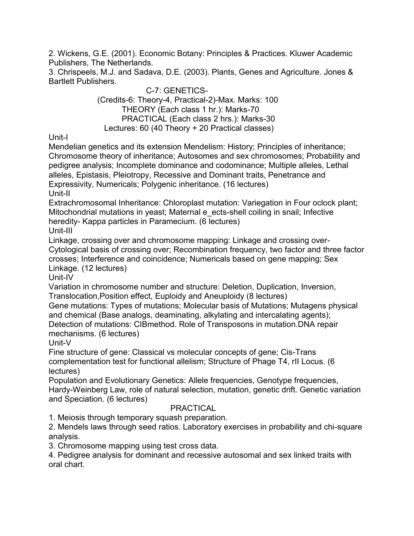2. Wickens, G.E. (2001). Economic Botany: Principles & Practices. Kluwer Academic Publishers, The Netherlands.

3. Chrispeels, M.J. and Sadava, D.E. (2003). Plants, Genes and Agriculture. Jones & Bartlett Publishers.

> C-7: GENETICS- (Credits-6: Theory-4, Practical-2)-Max. Marks: 100 THEORY (Each class 1 hr.): Marks-70 PRACTICAL (Each class 2 hrs.): Marks-30 Lectures: 60 (40 Theory + 20 Practical classes)

Unit-I

Mendelian genetics and its extension Mendelism: History; Principles of inheritance; Chromosome theory of inheritance; Autosomes and sex chromosomes; Probability and pedigree analysis; Incomplete dominance and codominance; Multiple alleles, Lethal alleles, Epistasis, Pleiotropy, Recessive and Dominant traits, Penetrance and Expressivity, Numericals; Polygenic inheritance. (16 lectures)

Unit-II

Extrachromosomal Inheritance: Chloroplast mutation: Variegation in Four oclock plant; Mitochondrial mutations in yeast; Maternal e\_ects-shell coiling in snail; Infective heredity- Kappa particles in Paramecium. (6 lectures)

Unit-III

Linkage, crossing over and chromosome mapping: Linkage and crossing over-Cytological basis of crossing over; Recombination frequency, two factor and three factor crosses; Interference and coincidence; Numericals based on gene mapping; Sex

Linkage. (12 lectures)

Unit-IV

Variation in chromosome number and structure: Deletion, Duplication, Inversion, Translocation,Position effect, Euploidy and Aneuploidy (8 lectures)

Gene mutations: Types of mutations; Molecular basis of Mutations; Mutagens physical and chemical (Base analogs, deaminating, alkylating and intercalating agents); Detection of mutations: CIBmethod. Role of Transposons in mutation.DNA repair mechanisms. (6 lectures)

Unit-V

Fine structure of gene: Classical vs molecular concepts of gene; Cis-Trans complementation test for functional allelism; Structure of Phage T4, rII Locus. (6 lectures)

Population and Evolutionary Genetics: Allele frequencies, Genotype frequencies, Hardy-Weinberg Law, role of natural selection, mutation, genetic drift. Genetic variation and Speciation. (6 lectures)

## PRACTICAL

1. Meiosis through temporary squash preparation.

2. Mendels laws through seed ratios. Laboratory exercises in probability and chi-square analysis.

3. Chromosome mapping using test cross data.

4. Pedigree analysis for dominant and recessive autosomal and sex linked traits with oral chart.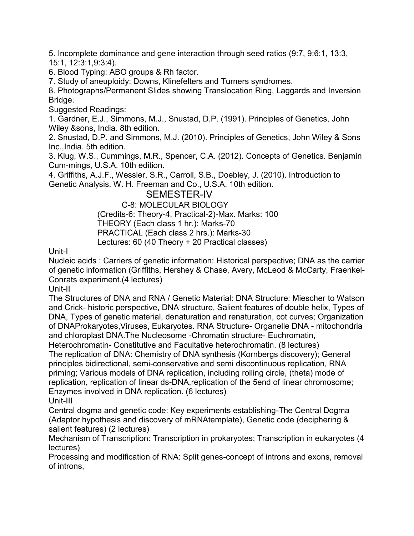5. Incomplete dominance and gene interaction through seed ratios (9:7, 9:6:1, 13:3, 15:1, 12:3:1,9:3:4).

6. Blood Typing: ABO groups & Rh factor.

7. Study of aneuploidy: Downs, Klinefelters and Turners syndromes.

8. Photographs/Permanent Slides showing Translocation Ring, Laggards and Inversion Bridge.

Suggested Readings:

1. Gardner, E.J., Simmons, M.J., Snustad, D.P. (1991). Principles of Genetics, John Wiley &sons, India. 8th edition.

2. Snustad, D.P. and Simmons, M.J. (2010). Principles of Genetics, John Wiley & Sons Inc.,India. 5th edition.

3. Klug, W.S., Cummings, M.R., Spencer, C.A. (2012). Concepts of Genetics. Benjamin Cum-mings, U.S.A. 10th edition.

4. Griffiths, A.J.F., Wessler, S.R., Carroll, S.B., Doebley, J. (2010). Introduction to Genetic Analysis. W. H. Freeman and Co., U.S.A. 10th edition.

## SEMESTER-IV

C-8: MOLECULAR BIOLOGY (Credits-6: Theory-4, Practical-2)-Max. Marks: 100 THEORY (Each class 1 hr.): Marks-70 PRACTICAL (Each class 2 hrs.): Marks-30 Lectures: 60 (40 Theory + 20 Practical classes)

Unit-I

Nucleic acids : Carriers of genetic information: Historical perspective; DNA as the carrier of genetic information (Griffiths, Hershey & Chase, Avery, McLeod & McCarty, Fraenkel-Conrats experiment.(4 lectures)

Unit-II

The Structures of DNA and RNA / Genetic Material: DNA Structure: Miescher to Watson and Crick- historic perspective, DNA structure, Salient features of double helix, Types of DNA, Types of genetic material, denaturation and renaturation, cot curves; Organization of DNAProkaryotes,Viruses, Eukaryotes. RNA Structure- Organelle DNA - mitochondria and chloroplast DNA.The Nucleosome -Chromatin structure- Euchromatin,

Heterochromatin- Constitutive and Facultative heterochromatin. (8 lectures) The replication of DNA: Chemistry of DNA synthesis (Kornbergs discovery); General principles bidirectional, semi-conservative and semi discontinuous replication, RNA priming; Various models of DNA replication, including rolling circle, (theta) mode of replication, replication of linear ds-DNA,replication of the 5end of linear chromosome; Enzymes involved in DNA replication. (6 lectures) Unit-III

Central dogma and genetic code: Key experiments establishing-The Central Dogma (Adaptor hypothesis and discovery of mRNAtemplate), Genetic code (deciphering & salient features) (2 lectures)

Mechanism of Transcription: Transcription in prokaryotes; Transcription in eukaryotes (4 lectures)

Processing and modification of RNA: Split genes-concept of introns and exons, removal of introns,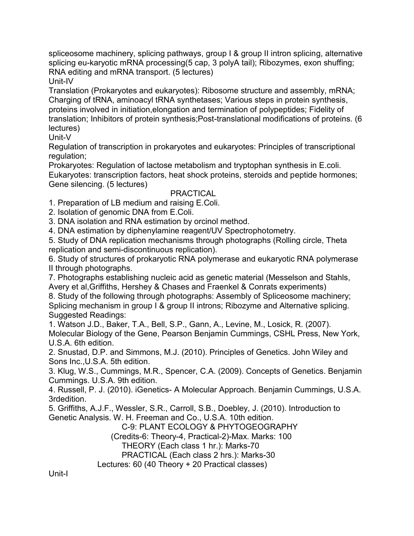spliceosome machinery, splicing pathways, group I & group II intron splicing, alternative splicing eu-karyotic mRNA processing(5 cap, 3 polyA tail); Ribozymes, exon shuffing; RNA editing and mRNA transport. (5 lectures)

Unit-IV

Translation (Prokaryotes and eukaryotes): Ribosome structure and assembly, mRNA; Charging of tRNA, aminoacyl tRNA synthetases; Various steps in protein synthesis, proteins involved in initiation,elongation and termination of polypeptides; Fidelity of translation; Inhibitors of protein synthesis;Post-translational modifications of proteins. (6 lectures)

Unit-V

Regulation of transcription in prokaryotes and eukaryotes: Principles of transcriptional regulation;

Prokaryotes: Regulation of lactose metabolism and tryptophan synthesis in E.coli. Eukaryotes: transcription factors, heat shock proteins, steroids and peptide hormones; Gene silencing. (5 lectures)

## **PRACTICAL**

1. Preparation of LB medium and raising E.Coli.

2. Isolation of genomic DNA from E.Coli.

3. DNA isolation and RNA estimation by orcinol method.

4. DNA estimation by diphenylamine reagent/UV Spectrophotometry.

5. Study of DNA replication mechanisms through photographs (Rolling circle, Theta replication and semi-discontinuous replication).

6. Study of structures of prokaryotic RNA polymerase and eukaryotic RNA polymerase II through photographs.

7. Photographs establishing nucleic acid as genetic material (Messelson and Stahls, Avery et al,Griffiths, Hershey & Chases and Fraenkel & Conrats experiments)

8. Study of the following through photographs: Assembly of Spliceosome machinery; Splicing mechanism in group I & group II introns; Ribozyme and Alternative splicing. Suggested Readings:

1. Watson J.D., Baker, T.A., Bell, S.P., Gann, A., Levine, M., Losick, R. (2007). Molecular Biology of the Gene, Pearson Benjamin Cummings, CSHL Press, New York, U.S.A. 6th edition.

2. Snustad, D.P. and Simmons, M.J. (2010). Principles of Genetics. John Wiley and Sons Inc.,U.S.A. 5th edition.

3. Klug, W.S., Cummings, M.R., Spencer, C.A. (2009). Concepts of Genetics. Benjamin Cummings. U.S.A. 9th edition.

4. Russell, P. J. (2010). iGenetics- A Molecular Approach. Benjamin Cummings, U.S.A. 3rdedition.

5. Griffiths, A.J.F., Wessler, S.R., Carroll, S.B., Doebley, J. (2010). Introduction to Genetic Analysis. W. H. Freeman and Co., U.S.A. 10th edition.

C-9: PLANT ECOLOGY & PHYTOGEOGRAPHY (Credits-6: Theory-4, Practical-2)-Max. Marks: 100 THEORY (Each class 1 hr.): Marks-70 PRACTICAL (Each class 2 hrs.): Marks-30 Lectures: 60 (40 Theory + 20 Practical classes)

Unit-I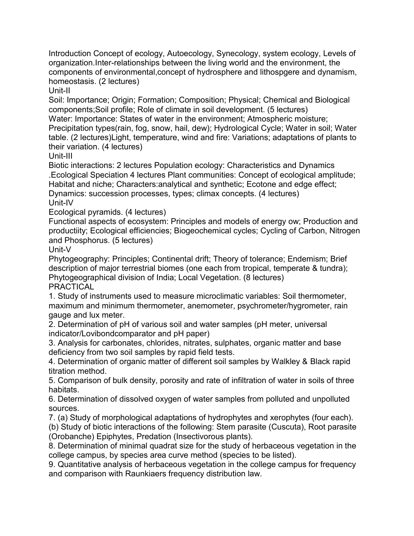Introduction Concept of ecology, Autoecology, Synecology, system ecology, Levels of organization.Inter-relationships between the living world and the environment, the components of environmental,concept of hydrosphere and lithospgere and dynamism, homeostasis. (2 lectures)

Unit-II

Soil: Importance; Origin; Formation; Composition; Physical; Chemical and Biological components;Soil profile; Role of climate in soil development. (5 lectures)

Water: Importance: States of water in the environment; Atmospheric moisture; Precipitation types(rain, fog, snow, hail, dew); Hydrological Cycle; Water in soil; Water table. (2 lectures)Light, temperature, wind and fire: Variations; adaptations of plants to their variation. (4 lectures)

Unit-III

Biotic interactions: 2 lectures Population ecology: Characteristics and Dynamics .Ecological Speciation 4 lectures Plant communities: Concept of ecological amplitude; Habitat and niche; Characters:analytical and synthetic; Ecotone and edge effect; Dynamics: succession processes, types; climax concepts. (4 lectures) Unit-IV

Ecological pyramids. (4 lectures)

Functional aspects of ecosystem: Principles and models of energy ow; Production and productiity; Ecological efficiencies; Biogeochemical cycles; Cycling of Carbon, Nitrogen and Phosphorus. (5 lectures)

Unit-V

Phytogeography: Principles; Continental drift; Theory of tolerance; Endemism; Brief description of major terrestrial biomes (one each from tropical, temperate & tundra); Phytogeographical division of India; Local Vegetation. (8 lectures) PRACTICAL

1. Study of instruments used to measure microclimatic variables: Soil thermometer, maximum and minimum thermometer, anemometer, psychrometer/hygrometer, rain gauge and lux meter.

2. Determination of pH of various soil and water samples (pH meter, universal indicator/Lovibondcomparator and pH paper)

3. Analysis for carbonates, chlorides, nitrates, sulphates, organic matter and base deficiency from two soil samples by rapid field tests.

4. Determination of organic matter of different soil samples by Walkley & Black rapid titration method.

5. Comparison of bulk density, porosity and rate of infiltration of water in soils of three habitats.

6. Determination of dissolved oxygen of water samples from polluted and unpolluted sources.

7. (a) Study of morphological adaptations of hydrophytes and xerophytes (four each).

(b) Study of biotic interactions of the following: Stem parasite (Cuscuta), Root parasite (Orobanche) Epiphytes, Predation (Insectivorous plants).

8. Determination of minimal quadrat size for the study of herbaceous vegetation in the college campus, by species area curve method (species to be listed).

9. Quantitative analysis of herbaceous vegetation in the college campus for frequency and comparison with Raunkiaers frequency distribution law.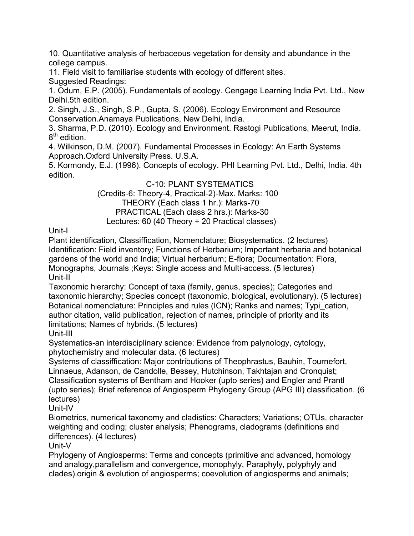10. Quantitative analysis of herbaceous vegetation for density and abundance in the college campus.

11. Field visit to familiarise students with ecology of different sites.

Suggested Readings:

1. Odum, E.P. (2005). Fundamentals of ecology. Cengage Learning India Pvt. Ltd., New Delhi.5th edition.

2. Singh, J.S., Singh, S.P., Gupta, S. (2006). Ecology Environment and Resource Conservation.Anamaya Publications, New Delhi, India.

3. Sharma, P.D. (2010). Ecology and Environment. Rastogi Publications, Meerut, India. 8<sup>th</sup> edition.

4. Wilkinson, D.M. (2007). Fundamental Processes in Ecology: An Earth Systems Approach.Oxford University Press. U.S.A.

5. Kormondy, E.J. (1996). Concepts of ecology. PHI Learning Pvt. Ltd., Delhi, India. 4th edition.

C-10: PLANT SYSTEMATICS (Credits-6: Theory-4, Practical-2)-Max. Marks: 100 THEORY (Each class 1 hr.): Marks-70 PRACTICAL (Each class 2 hrs.): Marks-30 Lectures: 60 (40 Theory + 20 Practical classes)

Unit-I

Plant identification, Classiffication, Nomenclature; Biosystematics. (2 lectures) Identification: Field inventory; Functions of Herbarium; Important herbaria and botanical gardens of the world and India; Virtual herbarium; E-flora; Documentation: Flora, Monographs, Journals ;Keys: Single access and Multi-access. (5 lectures) Unit-II

Taxonomic hierarchy: Concept of taxa (family, genus, species); Categories and taxonomic hierarchy; Species concept (taxonomic, biological, evolutionary). (5 lectures) Botanical nomenclature: Principles and rules (ICN); Ranks and names; Typi\_cation, author citation, valid publication, rejection of names, principle of priority and its limitations; Names of hybrids. (5 lectures)

Unit-III

Systematics-an interdisciplinary science: Evidence from palynology, cytology, phytochemistry and molecular data. (6 lectures)

Systems of classiffication: Major contributions of Theophrastus, Bauhin, Tournefort, Linnaeus, Adanson, de Candolle, Bessey, Hutchinson, Takhtajan and Cronquist; Classification systems of Bentham and Hooker (upto series) and Engler and Prantl (upto series); Brief reference of Angiosperm Phylogeny Group (APG III) classification. (6 lectures)

Unit-IV

Biometrics, numerical taxonomy and cladistics: Characters; Variations; OTUs, character weighting and coding; cluster analysis; Phenograms, cladograms (definitions and differences). (4 lectures)

Unit-V

Phylogeny of Angiosperms: Terms and concepts (primitive and advanced, homology and analogy,parallelism and convergence, monophyly, Paraphyly, polyphyly and clades).origin & evolution of angiosperms; coevolution of angiosperms and animals;